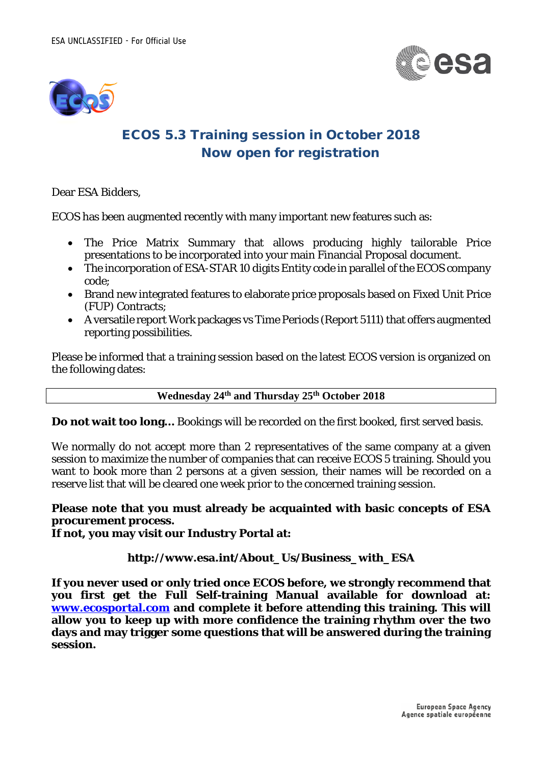



## ECOS 5.3 Training session in October 2018 Now open for registration

Dear ESA Bidders,

ECOS has been augmented recently with many important new features such as:

- The Price Matrix Summary that allows producing highly tailorable Price presentations to be incorporated into your main Financial Proposal document.
- The incorporation of ESA-STAR 10 digits Entity code in parallel of the ECOS company code;
- Brand new integrated features to elaborate price proposals based on Fixed Unit Price (FUP) Contracts;
- A versatile report Work packages vs Time Periods (Report 5111) that offers augmented reporting possibilities.

Please be informed that a training session based on the latest ECOS version is organized on the following dates:

## **Wednesday 24th and Thursday 25th October 2018**

**Do not wait too long…** Bookings will be recorded on the first booked, first served basis.

We normally do not accept more than 2 representatives of the same company at a given session to maximize the number of companies that can receive ECOS 5 training. Should you want to book more than 2 persons at a given session, their names will be recorded on a reserve list that will be cleared one week prior to the concerned training session.

## **Please note that you must already be acquainted with basic concepts of ESA procurement process.**

**If not, you may visit our Industry Portal at:**

## **http://www.esa.int/About\_Us/Business\_with\_ESA**

**If you never used or only tried once ECOS before, we strongly recommend that you first get the Full Self-training Manual available for download at: [www.ecosportal.com](http://www.ecosportal.com/) and complete it before attending this training. This will allow you to keep up with more confidence the training rhythm over the two days and may trigger some questions that will be answered during the training session.**